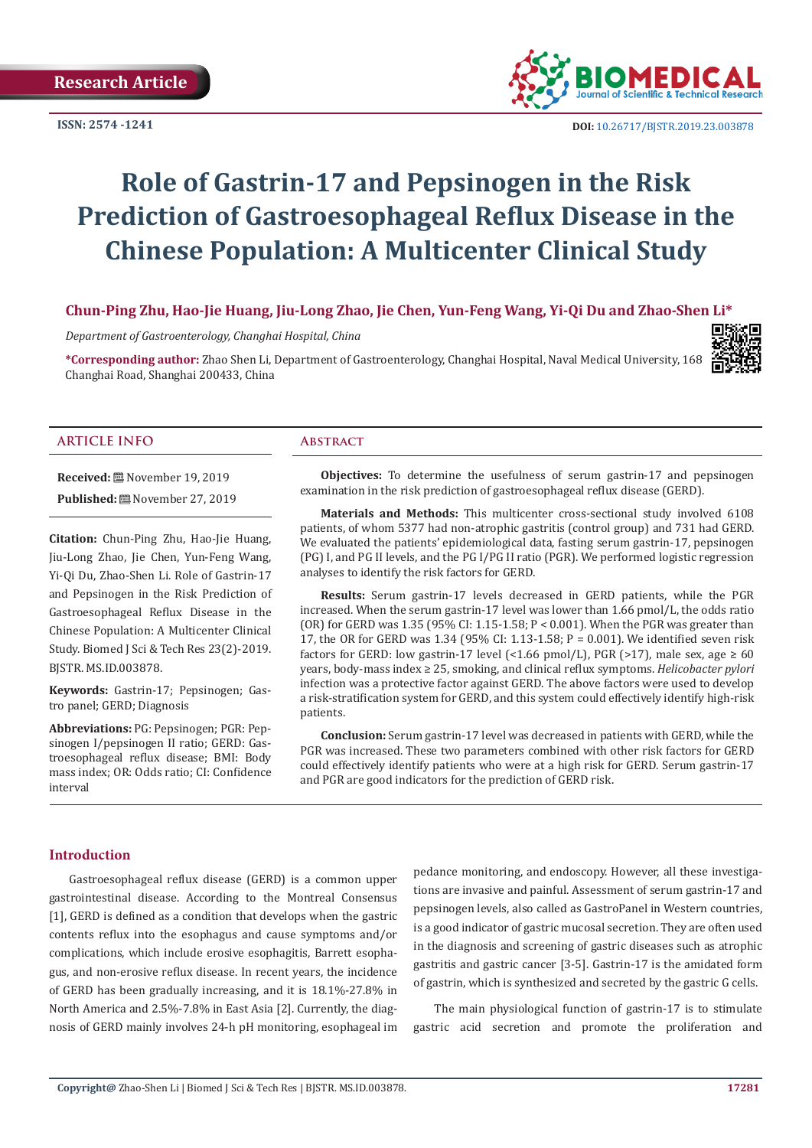**ISSN: 2574 -1241**



 **DOI:** [10.26717/BJSTR.2019.23.0038](http://dx.doi.org/10.26717/BJSTR.2019.23.003878)78

# **Role of Gastrin-17 and Pepsinogen in the Risk Prediction of Gastroesophageal Reflux Disease in the Chinese Population: A Multicenter Clinical Study**

# **Chun-Ping Zhu, Hao-Jie Huang, Jiu-Long Zhao, Jie Chen, Yun-Feng Wang, Yi-Qi Du and Zhao-Shen Li\***

*Department of Gastroenterology, Changhai Hospital, China*

**\*Corresponding author:** Zhao Shen Li, Department of Gastroenterology, Changhai Hospital, Naval Medical University, 168 Changhai Road, Shanghai 200433, China



#### **ARTICLE INFO Abstract**

**Received:** November 19, 2019 **Published:** November 27, 2019

**Citation:** Chun-Ping Zhu, Hao-Jie Huang, Jiu-Long Zhao, Jie Chen, Yun-Feng Wang, Yi-Qi Du, Zhao-Shen Li. Role of Gastrin-17 and Pepsinogen in the Risk Prediction of Gastroesophageal Reflux Disease in the Chinese Population: A Multicenter Clinical Study. Biomed J Sci & Tech Res 23(2)-2019. BJSTR. MS.ID.003878.

**Keywords:** Gastrin-17; Pepsinogen; Gastro panel; GERD; Diagnosis

**Abbreviations:** PG: Pepsinogen; PGR: Pepsinogen I/pepsinogen II ratio; GERD: Gastroesophageal reflux disease; BMI: Body mass index; OR: Odds ratio; CI: Confidence interval

**Objectives:** To determine the usefulness of serum gastrin-17 and pepsinogen examination in the risk prediction of gastroesophageal reflux disease (GERD).

**Materials and Methods:** This multicenter cross-sectional study involved 6108 patients, of whom 5377 had non-atrophic gastritis (control group) and 731 had GERD. We evaluated the patients' epidemiological data, fasting serum gastrin-17, pepsinogen (PG) I, and PG II levels, and the PG I/PG II ratio (PGR). We performed logistic regression analyses to identify the risk factors for GERD.

**Results:** Serum gastrin-17 levels decreased in GERD patients, while the PGR increased. When the serum gastrin-17 level was lower than 1.66 pmol/L, the odds ratio (OR) for GERD was 1.35 (95% CI: 1.15-1.58; P < 0.001). When the PGR was greater than 17, the OR for GERD was 1.34 (95% CI: 1.13-1.58; P = 0.001). We identified seven risk factors for GERD: low gastrin-17 level (<1.66 pmol/L), PGR (>17), male sex, age  $\geq 60$ years, body-mass index ≥ 25, smoking, and clinical reflux symptoms. *Helicobacter pylori* infection was a protective factor against GERD. The above factors were used to develop a risk-stratification system for GERD, and this system could effectively identify high-risk patients.

**Conclusion:** Serum gastrin-17 level was decreased in patients with GERD, while the PGR was increased. These two parameters combined with other risk factors for GERD could effectively identify patients who were at a high risk for GERD. Serum gastrin-17 and PGR are good indicators for the prediction of GERD risk.

# **Introduction**

Gastroesophageal reflux disease (GERD) is a common upper gastrointestinal disease. According to the Montreal Consensus [1], GERD is defined as a condition that develops when the gastric contents reflux into the esophagus and cause symptoms and/or complications, which include erosive esophagitis, Barrett esophagus, and non-erosive reflux disease. In recent years, the incidence of GERD has been gradually increasing, and it is 18.1%-27.8% in North America and 2.5%-7.8% in East Asia [2]. Currently, the diagnosis of GERD mainly involves 24-h pH monitoring, esophageal im pedance monitoring, and endoscopy. However, all these investigations are invasive and painful. Assessment of serum gastrin-17 and pepsinogen levels, also called as GastroPanel in Western countries, is a good indicator of gastric mucosal secretion. They are often used in the diagnosis and screening of gastric diseases such as atrophic gastritis and gastric cancer [3-5]. Gastrin-17 is the amidated form of gastrin, which is synthesized and secreted by the gastric G cells.

The main physiological function of gastrin-17 is to stimulate gastric acid secretion and promote the proliferation and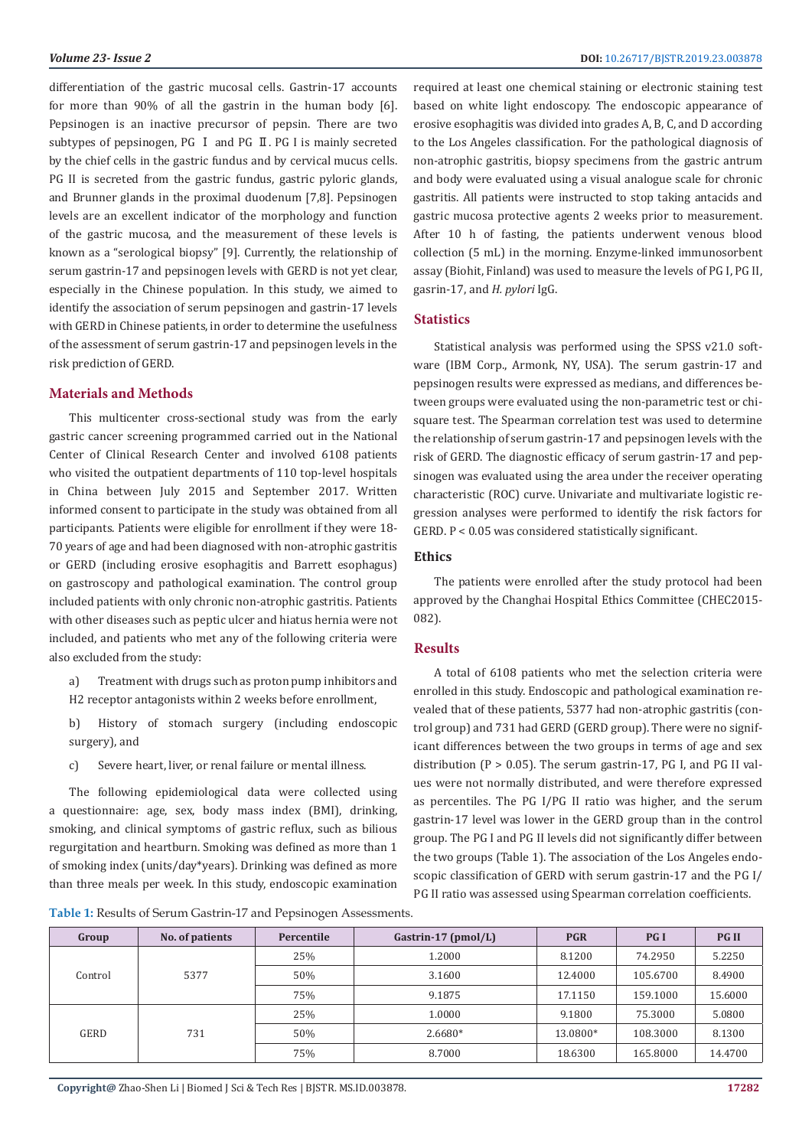differentiation of the gastric mucosal cells. Gastrin-17 accounts for more than 90% of all the gastrin in the human body [6]. Pepsinogen is an inactive precursor of pepsin. There are two subtypes of pepsinogen, PG I and PG II. PG I is mainly secreted by the chief cells in the gastric fundus and by cervical mucus cells. PG II is secreted from the gastric fundus, gastric pyloric glands, and Brunner glands in the proximal duodenum [7,8]. Pepsinogen levels are an excellent indicator of the morphology and function of the gastric mucosa, and the measurement of these levels is known as a "serological biopsy" [9]. Currently, the relationship of serum gastrin-17 and pepsinogen levels with GERD is not yet clear, especially in the Chinese population. In this study, we aimed to identify the association of serum pepsinogen and gastrin-17 levels with GERD in Chinese patients, in order to determine the usefulness of the assessment of serum gastrin-17 and pepsinogen levels in the risk prediction of GERD.

#### **Materials and Methods**

This multicenter cross-sectional study was from the early gastric cancer screening programmed carried out in the National Center of Clinical Research Center and involved 6108 patients who visited the outpatient departments of 110 top-level hospitals in China between July 2015 and September 2017. Written informed consent to participate in the study was obtained from all participants. Patients were eligible for enrollment if they were 18- 70 years of age and had been diagnosed with non-atrophic gastritis or GERD (including erosive esophagitis and Barrett esophagus) on gastroscopy and pathological examination. The control group included patients with only chronic non-atrophic gastritis. Patients with other diseases such as peptic ulcer and hiatus hernia were not included, and patients who met any of the following criteria were also excluded from the study:

- a) Treatment with drugs such as proton pump inhibitors and H2 receptor antagonists within 2 weeks before enrollment,
- b) History of stomach surgery (including endoscopic surgery), and
- c) Severe heart, liver, or renal failure or mental illness.

The following epidemiological data were collected using a questionnaire: age, sex, body mass index (BMI), drinking, smoking, and clinical symptoms of gastric reflux, such as bilious regurgitation and heartburn. Smoking was defined as more than 1 of smoking index (units/day\*years). Drinking was defined as more than three meals per week. In this study, endoscopic examination

required at least one chemical staining or electronic staining test based on white light endoscopy. The endoscopic appearance of erosive esophagitis was divided into grades A, B, C, and D according to the Los Angeles classification. For the pathological diagnosis of non-atrophic gastritis, biopsy specimens from the gastric antrum and body were evaluated using a visual analogue scale for chronic gastritis. All patients were instructed to stop taking antacids and gastric mucosa protective agents 2 weeks prior to measurement. After 10 h of fasting, the patients underwent venous blood collection (5 mL) in the morning. Enzyme-linked immunosorbent assay (Biohit, Finland) was used to measure the levels of PG I, PG II, gasrin-17, and *H. pylori* IgG.

### **Statistics**

Statistical analysis was performed using the SPSS v21.0 software (IBM Corp., Armonk, NY, USA). The serum gastrin-17 and pepsinogen results were expressed as medians, and differences between groups were evaluated using the non-parametric test or chisquare test. The Spearman correlation test was used to determine the relationship of serum gastrin-17 and pepsinogen levels with the risk of GERD. The diagnostic efficacy of serum gastrin-17 and pepsinogen was evaluated using the area under the receiver operating characteristic (ROC) curve. Univariate and multivariate logistic regression analyses were performed to identify the risk factors for GERD. P < 0.05 was considered statistically significant.

#### **Ethics**

The patients were enrolled after the study protocol had been approved by the Changhai Hospital Ethics Committee (CHEC2015- 082).

# **Results**

A total of 6108 patients who met the selection criteria were enrolled in this study. Endoscopic and pathological examination revealed that of these patients, 5377 had non-atrophic gastritis (control group) and 731 had GERD (GERD group). There were no significant differences between the two groups in terms of age and sex distribution ( $P > 0.05$ ). The serum gastrin-17, PG I, and PG II values were not normally distributed, and were therefore expressed as percentiles. The PG I/PG II ratio was higher, and the serum gastrin-17 level was lower in the GERD group than in the control group. The PG I and PG II levels did not significantly differ between the two groups (Table 1). The association of the Los Angeles endoscopic classification of GERD with serum gastrin-17 and the PG I/ PG II ratio was assessed using Spearman correlation coefficients.

**Table 1:** Results of Serum Gastrin-17 and Pepsinogen Assessments.

|         |                 | $\sim$     |                       |            |            |              |
|---------|-----------------|------------|-----------------------|------------|------------|--------------|
| Group   | No. of patients | Percentile | Gastrin-17 $(pmol/L)$ | <b>PGR</b> | <b>PGI</b> | <b>PG II</b> |
| Control | 5377            | 25%        | 1.2000                | 8.1200     | 74.2950    | 5.2250       |
|         |                 | 50%        | 3.1600                | 12.4000    | 105.6700   | 8.4900       |
|         |                 | 75%        | 9.1875                | 17.1150    | 159.1000   | 15.6000      |
| GERD    | 731             | 25%        | 1.0000                | 9.1800     | 75.3000    | 5.0800       |
|         |                 | 50%        | 2.6680*               | 13.0800*   | 108.3000   | 8.1300       |
|         |                 | 75%        | 8.7000                | 18.6300    | 165.8000   | 14.4700      |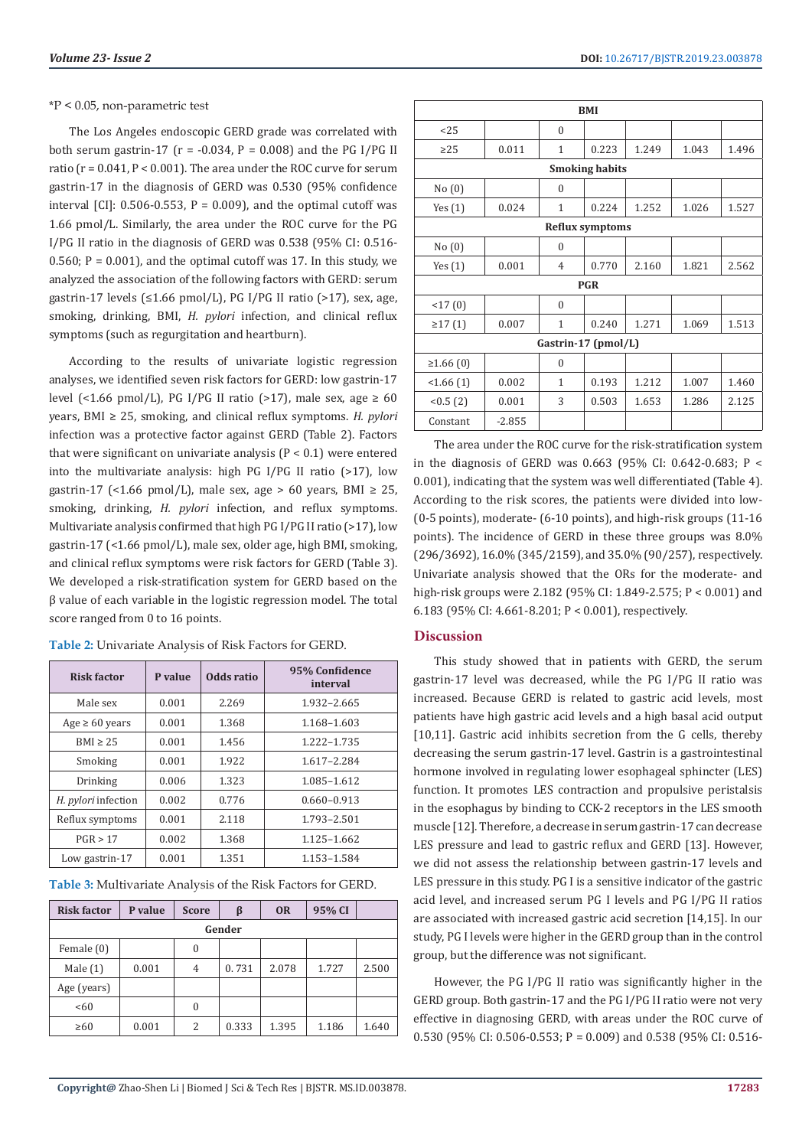#### \*P < 0.05, non-parametric test

The Los Angeles endoscopic GERD grade was correlated with both serum gastrin-17 ( $r = -0.034$ ,  $P = 0.008$ ) and the PG I/PG II ratio ( $r = 0.041$ ,  $P < 0.001$ ). The area under the ROC curve for serum gastrin-17 in the diagnosis of GERD was 0.530 (95% confidence interval  $\lbrack$  [CI]: 0.506-0.553, P = 0.009), and the optimal cutoff was 1.66 pmol/L. Similarly, the area under the ROC curve for the PG I/PG II ratio in the diagnosis of GERD was 0.538 (95% CI: 0.516- 0.560;  $P = 0.001$ ), and the optimal cutoff was 17. In this study, we analyzed the association of the following factors with GERD: serum gastrin-17 levels (≤1.66 pmol/L), PG I/PG II ratio (>17), sex, age, smoking, drinking, BMI, *H. pylori* infection, and clinical reflux symptoms (such as regurgitation and heartburn).

According to the results of univariate logistic regression analyses, we identified seven risk factors for GERD: low gastrin-17 level (<1.66 pmol/L), PG I/PG II ratio (>17), male sex, age  $\geq 60$ years, BMI ≥ 25, smoking, and clinical reflux symptoms. *H. pylori* infection was a protective factor against GERD (Table 2). Factors that were significant on univariate analysis (P < 0.1) were entered into the multivariate analysis: high PG I/PG II ratio (>17), low gastrin-17 (<1.66 pmol/L), male sex, age > 60 years, BMI  $\geq$  25, smoking, drinking, *H. pylori* infection, and reflux symptoms. Multivariate analysis confirmed that high PG I/PG II ratio (>17), low gastrin-17 (<1.66 pmol/L), male sex, older age, high BMI, smoking, and clinical reflux symptoms were risk factors for GERD (Table 3). We developed a risk-stratification system for GERD based on the β value of each variable in the logistic regression model. The total score ranged from 0 to 16 points.

| <b>Risk factor</b>         | P value | Odds ratio | 95% Confidence<br>interval |  |  |
|----------------------------|---------|------------|----------------------------|--|--|
| Male sex                   | 0.001   | 2.269      | 1.932-2.665                |  |  |
| Age $\geq 60$ years        | 0.001   | 1.368      | 1.168-1.603                |  |  |
| $BMI \geq 25$              | 0.001   | 1.456      | 1.222-1.735                |  |  |
| Smoking                    | 0.001   | 1.922      | 1.617-2.284                |  |  |
| Drinking                   | 0.006   | 1.323      | 1.085-1.612                |  |  |
| H. <i>pylori</i> infection | 0.002   | 0.776      | $0.660 - 0.913$            |  |  |
| Reflux symptoms            | 0.001   | 2.118      | 1.793-2.501                |  |  |
| PGR > 17                   | 0.002   | 1.368      | 1.125-1.662                |  |  |
| Low gastrin-17             | 0.001   | 1.351      | 1.153-1.584                |  |  |

**Table 2:** Univariate Analysis of Risk Factors for GERD.

**Table 3:** Multivariate Analysis of the Risk Factors for GERD.

| <b>Risk factor</b> | P value | <b>Score</b> | β     | <b>OR</b> | 95% CI |       |
|--------------------|---------|--------------|-------|-----------|--------|-------|
| Gender             |         |              |       |           |        |       |
| Female (0)         |         | $\Omega$     |       |           |        |       |
| Male $(1)$         | 0.001   | 4            | 0.731 | 2.078     | 1.727  | 2.500 |
| Age (years)        |         |              |       |           |        |       |
| <60                |         | $\theta$     |       |           |        |       |
| $\geq 60$          | 0.001   | 2            | 0.333 | 1.395     | 1.186  | 1.640 |

| <b>BMI</b>             |          |                |       |       |       |       |  |
|------------------------|----------|----------------|-------|-------|-------|-------|--|
| 25                     |          | $\theta$       |       |       |       |       |  |
| $\geq$ 25              | 0.011    | $\mathbf{1}$   | 0.223 | 1.249 | 1.043 | 1.496 |  |
| <b>Smoking habits</b>  |          |                |       |       |       |       |  |
| No(0)                  |          | $\theta$       |       |       |       |       |  |
| Yes $(1)$              | 0.024    | 1              | 0.224 | 1.252 | 1.026 | 1.527 |  |
| <b>Reflux symptoms</b> |          |                |       |       |       |       |  |
| No(0)                  |          | $\theta$       |       |       |       |       |  |
| Yes $(1)$              | 0.001    | $\overline{4}$ | 0.770 | 2.160 | 1.821 | 2.562 |  |
| <b>PGR</b>             |          |                |       |       |       |       |  |
| <17(0)                 |          | $\theta$       |       |       |       |       |  |
| $\geq$ 17 $(1)$        | 0.007    | $\mathbf{1}$   | 0.240 | 1.271 | 1.069 | 1.513 |  |
| Gastrin-17 (pmol/L)    |          |                |       |       |       |       |  |
| ≥1.66(0)               |          | $\theta$       |       |       |       |       |  |
| <1.66(1)               | 0.002    | $\mathbf{1}$   | 0.193 | 1.212 | 1.007 | 1.460 |  |
| < 0.5(2)               | 0.001    | 3              | 0.503 | 1.653 | 1.286 | 2.125 |  |
| Constant               | $-2.855$ |                |       |       |       |       |  |

The area under the ROC curve for the risk-stratification system in the diagnosis of GERD was 0.663 (95% CI: 0.642-0.683; P < 0.001), indicating that the system was well differentiated (Table 4). According to the risk scores, the patients were divided into low- (0-5 points), moderate- (6-10 points), and high-risk groups (11-16 points). The incidence of GERD in these three groups was 8.0% (296/3692), 16.0% (345/2159), and 35.0% (90/257), respectively. Univariate analysis showed that the ORs for the moderate- and high-risk groups were 2.182 (95% CI: 1.849-2.575; P < 0.001) and 6.183 (95% CI: 4.661-8.201; P < 0.001), respectively.

# **Discussion**

This study showed that in patients with GERD, the serum gastrin-17 level was decreased, while the PG I/PG II ratio was increased. Because GERD is related to gastric acid levels, most patients have high gastric acid levels and a high basal acid output [10,11]. Gastric acid inhibits secretion from the G cells, thereby decreasing the serum gastrin-17 level. Gastrin is a gastrointestinal hormone involved in regulating lower esophageal sphincter (LES) function. It promotes LES contraction and propulsive peristalsis in the esophagus by binding to CCK-2 receptors in the LES smooth muscle [12]. Therefore, a decrease in serum gastrin-17 can decrease LES pressure and lead to gastric reflux and GERD [13]. However, we did not assess the relationship between gastrin-17 levels and LES pressure in this study. PG I is a sensitive indicator of the gastric acid level, and increased serum PG I levels and PG I/PG II ratios are associated with increased gastric acid secretion [14,15]. In our study, PG I levels were higher in the GERD group than in the control group, but the difference was not significant.

However, the PG I/PG II ratio was significantly higher in the GERD group. Both gastrin-17 and the PG I/PG II ratio were not very effective in diagnosing GERD, with areas under the ROC curve of 0.530 (95% CI: 0.506-0.553; P = 0.009) and 0.538 (95% CI: 0.516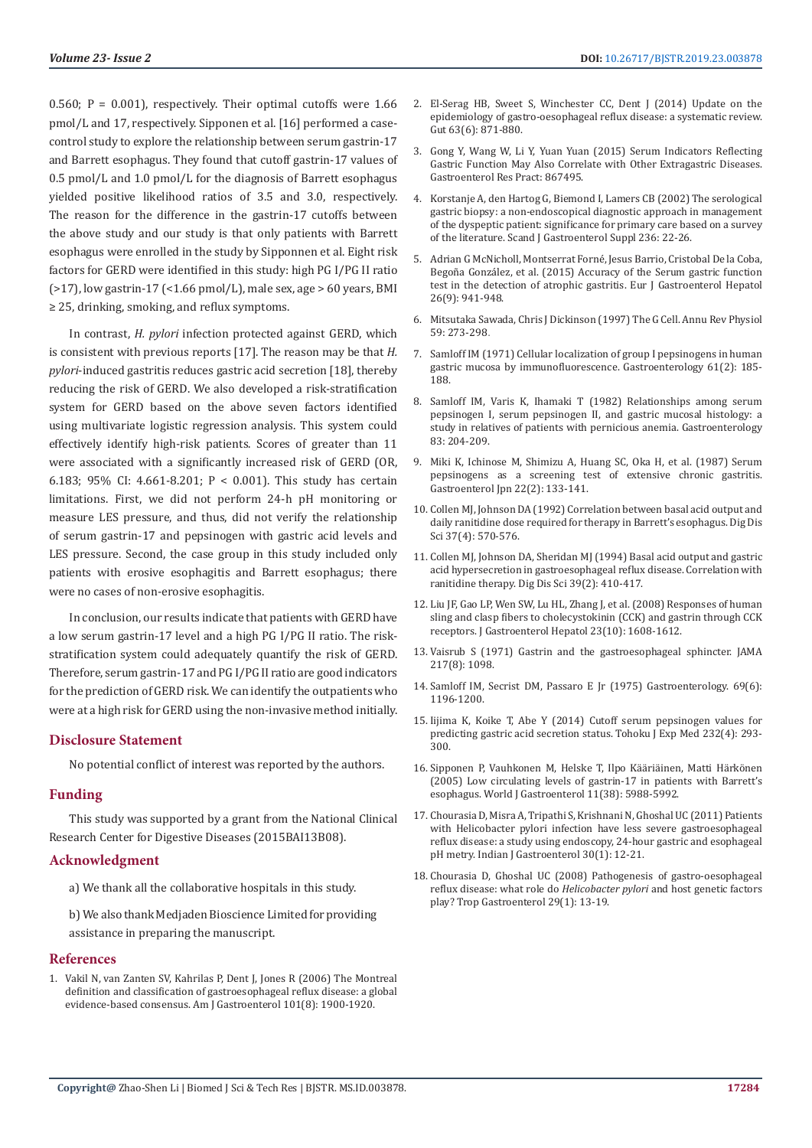0.560;  $P = 0.001$ , respectively. Their optimal cutoffs were 1.66 pmol/L and 17, respectively. Sipponen et al. [16] performed a casecontrol study to explore the relationship between serum gastrin-17 and Barrett esophagus. They found that cutoff gastrin-17 values of 0.5 pmol/L and 1.0 pmol/L for the diagnosis of Barrett esophagus yielded positive likelihood ratios of 3.5 and 3.0, respectively. The reason for the difference in the gastrin-17 cutoffs between the above study and our study is that only patients with Barrett esophagus were enrolled in the study by Sipponnen et al. Eight risk factors for GERD were identified in this study: high PG I/PG II ratio  $(>17)$ , low gastrin-17  $($ <1.66 pmol/L), male sex, age  $> 60$  years, BMI ≥ 25, drinking, smoking, and reflux symptoms.

In contrast, *H. pylori* infection protected against GERD, which is consistent with previous reports [17]. The reason may be that *H. pylori*-induced gastritis reduces gastric acid secretion [18], thereby reducing the risk of GERD. We also developed a risk-stratification system for GERD based on the above seven factors identified using multivariate logistic regression analysis. This system could effectively identify high-risk patients. Scores of greater than 11 were associated with a significantly increased risk of GERD (OR, 6.183; 95% CI: 4.661-8.201; P < 0.001). This study has certain limitations. First, we did not perform 24-h pH monitoring or measure LES pressure, and thus, did not verify the relationship of serum gastrin-17 and pepsinogen with gastric acid levels and LES pressure. Second, the case group in this study included only patients with erosive esophagitis and Barrett esophagus; there were no cases of non-erosive esophagitis.

In conclusion, our results indicate that patients with GERD have a low serum gastrin-17 level and a high PG I/PG II ratio. The riskstratification system could adequately quantify the risk of GERD. Therefore, serum gastrin-17 and PG I/PG II ratio are good indicators for the prediction of GERD risk. We can identify the outpatients who were at a high risk for GERD using the non-invasive method initially.

# **Disclosure Statement**

No potential conflict of interest was reported by the authors.

# **Funding**

This study was supported by a grant from the National Clinical Research Center for Digestive Diseases (2015BAI13B08).

# **Acknowledgment**

a) We thank all the collaborative hospitals in this study.

b) We also thank Medjaden Bioscience Limited for providing assistance in preparing the manuscript.

#### **References**

1. [Vakil N, van Zanten SV, Kahrilas P, Dent J, Jones R \(2006\) The Montreal](https://www.ncbi.nlm.nih.gov/pubmed/16928254)  [definition and classification of gastroesophageal reflux disease: a global](https://www.ncbi.nlm.nih.gov/pubmed/16928254)  [evidence-based consensus. Am J Gastroenterol 101\(8\): 1900-1920.](https://www.ncbi.nlm.nih.gov/pubmed/16928254)

- 3. [Gong Y, Wang W, Li Y, Yuan Yuan \(2015\) Serum Indicators Reflecting](https://www.hindawi.com/journals/grp/2015/867495/) [Gastric Function May Also Correlate with Other Extragastric Diseases.](https://www.hindawi.com/journals/grp/2015/867495/) [Gastroenterol Res Pract: 867495.](https://www.hindawi.com/journals/grp/2015/867495/)
- 4. [Korstanje A, den Hartog G, Biemond I, Lamers CB \(2002\) The serological](https://www.ncbi.nlm.nih.gov/pubmed/12408500) [gastric biopsy: a non-endoscopical diagnostic approach in management](https://www.ncbi.nlm.nih.gov/pubmed/12408500) [of the dyspeptic patient: significance for primary care based on a survey](https://www.ncbi.nlm.nih.gov/pubmed/12408500) [of the literature. Scand J Gastroenterol Suppl 236: 22-26.](https://www.ncbi.nlm.nih.gov/pubmed/12408500)
- 5. [Adrian G McNicholl, Montserrat Forné, Jesus Barrio, Cristobal De la Coba,](https://www.ncbi.nlm.nih.gov/pmc/articles/PMC4232299/) [Begoña González, et al. \(2015\) Accuracy of the Serum gastric function](https://www.ncbi.nlm.nih.gov/pmc/articles/PMC4232299/) [test in the detection of atrophic gastritis. Eur J Gastroenterol Hepatol](https://www.ncbi.nlm.nih.gov/pmc/articles/PMC4232299/) [26\(9\): 941-948.](https://www.ncbi.nlm.nih.gov/pmc/articles/PMC4232299/)
- 6. [Mitsutaka Sawada, Chris J Dickinson \(1997\) The G Cell. Annu Rev Physiol](https://www.annualreviews.org/doi/abs/10.1146/annurev.physiol.59.1.273?journalCode=physiol) [59: 273-298](https://www.annualreviews.org/doi/abs/10.1146/annurev.physiol.59.1.273?journalCode=physiol).
- 7. [Samloff IM \(1971\) Cellular localization of group I pepsinogens in human](https://www.ncbi.nlm.nih.gov/pubmed/4935210) [gastric mucosa by immunofluorescence. Gastroenterology 61\(2\): 185-](https://www.ncbi.nlm.nih.gov/pubmed/4935210) [188.](https://www.ncbi.nlm.nih.gov/pubmed/4935210)
- 8. [Samloff IM, Varis K, Ihamaki T \(1982\) Relationships among serum](https://www.ncbi.nlm.nih.gov/pubmed/7084603) [pepsinogen I, serum pepsinogen II, and gastric mucosal histology: a](https://www.ncbi.nlm.nih.gov/pubmed/7084603) [study in relatives of patients with pernicious anemia. Gastroenterology](https://www.ncbi.nlm.nih.gov/pubmed/7084603) [83: 204-209.](https://www.ncbi.nlm.nih.gov/pubmed/7084603)
- 9. [Miki K, Ichinose M, Shimizu A, Huang SC, Oka H, et al. \(1987\) Serum](https://www.ncbi.nlm.nih.gov/pubmed/3596151) [pepsinogens as a screening test of extensive chronic gastritis.](https://www.ncbi.nlm.nih.gov/pubmed/3596151) [Gastroenterol Jpn 22\(2\): 133-141.](https://www.ncbi.nlm.nih.gov/pubmed/3596151)
- 10. [Collen MJ, Johnson DA \(1992\) Correlation between basal acid output and](https://www.ncbi.nlm.nih.gov/pubmed/1551347) [daily ranitidine dose required for therapy in Barrett's esophagus. Dig Dis](https://www.ncbi.nlm.nih.gov/pubmed/1551347) [Sci 37\(4\): 570-576.](https://www.ncbi.nlm.nih.gov/pubmed/1551347)
- 11. [Collen MJ, Johnson DA, Sheridan MJ \(1994\) Basal acid output and gastric](https://www.ncbi.nlm.nih.gov/pubmed/8313826) [acid hypersecretion in gastroesophageal reflux disease. Correlation with](https://www.ncbi.nlm.nih.gov/pubmed/8313826) [ranitidine therapy. Dig Dis Sci 39\(2\): 410-417.](https://www.ncbi.nlm.nih.gov/pubmed/8313826)
- 12. [Liu JF, Gao LP, Wen SW, Lu HL, Zhang J, et al. \(2008\) Responses of human](https://www.ncbi.nlm.nih.gov/pubmed/18444993) [sling and clasp fibers to cholecystokinin \(CCK\) and gastrin through CCK](https://www.ncbi.nlm.nih.gov/pubmed/18444993) [receptors. J Gastroenterol Hepatol 23\(10\): 1608-1612.](https://www.ncbi.nlm.nih.gov/pubmed/18444993)
- 13. [Vaisrub S \(1971\) Gastrin and the gastroesophageal sphincter. JAMA](https://www.ncbi.nlm.nih.gov/pubmed/5109434) [217\(8\): 1098.](https://www.ncbi.nlm.nih.gov/pubmed/5109434)
- 14. Samloff IM, Secrist DM, Passaro E Jr (1975) Gastroenterology. 69(6): 1196-1200.
- 15. [Iijima K, Koike T, Abe Y \(2014\) Cutoff serum pepsinogen values for](https://www.ncbi.nlm.nih.gov/pubmed/24717778) [predicting gastric acid secretion status. Tohoku J Exp Med 232\(4\): 293-](https://www.ncbi.nlm.nih.gov/pubmed/24717778) [300.](https://www.ncbi.nlm.nih.gov/pubmed/24717778)
- 16. [Sipponen P, Vauhkonen M, Helske T, Ilpo Kääriäinen, Matti Härkönen](https://www.ncbi.nlm.nih.gov/pmc/articles/PMC4436397/) [\(2005\) Low circulating levels of gastrin-17 in patients with Barrett's](https://www.ncbi.nlm.nih.gov/pmc/articles/PMC4436397/) [esophagus. World J Gastroenterol 11\(38\): 5988-5992.](https://www.ncbi.nlm.nih.gov/pmc/articles/PMC4436397/)
- 17. [Chourasia D, Misra A, Tripathi S, Krishnani N, Ghoshal UC \(2011\) Patients](https://www.ncbi.nlm.nih.gov/pubmed/21267690) [with Helicobacter pylori infection have less severe gastroesophageal](https://www.ncbi.nlm.nih.gov/pubmed/21267690) [reflux disease: a study using endoscopy, 24-hour gastric and esophageal](https://www.ncbi.nlm.nih.gov/pubmed/21267690) [pH metry. Indian J Gastroenterol 30\(1\): 12-21.](https://www.ncbi.nlm.nih.gov/pubmed/21267690)
- 18. [Chourasia D, Ghoshal UC \(2008\) Pathogenesis of gastro-oesophageal](https://www.ncbi.nlm.nih.gov/pubmed/18564661) [reflux disease: what role do](https://www.ncbi.nlm.nih.gov/pubmed/18564661) *Helicobacter pylori* and host genetic factors [play? Trop Gastroenterol 29\(1\): 13-19.](https://www.ncbi.nlm.nih.gov/pubmed/18564661)